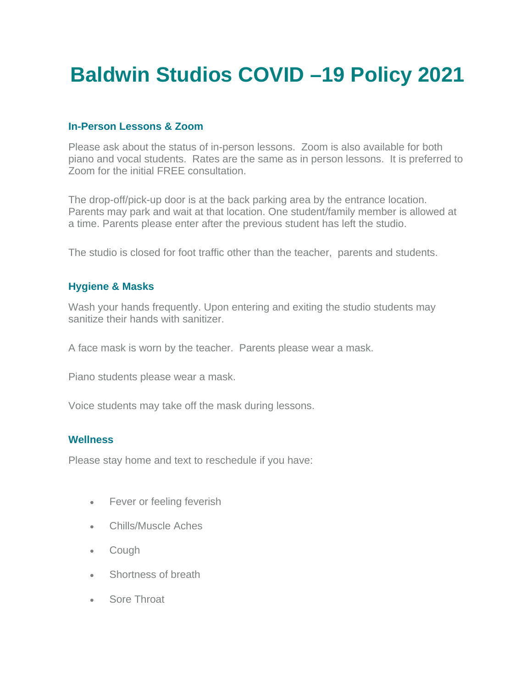# **Baldwin Studios COVID –19 Policy 2021**

## **In-Person Lessons & Zoom**

Please ask about the status of in-person lessons. Zoom is also available for both piano and vocal students. Rates are the same as in person lessons. It is preferred to Zoom for the initial FREE consultation.

The drop-off/pick-up door is at the back parking area by the entrance location. Parents may park and wait at that location. One student/family member is allowed at a time. Parents please enter after the previous student has left the studio.

The studio is closed for foot traffic other than the teacher, parents and students.

## **Hygiene & Masks**

Wash your hands frequently. Upon entering and exiting the studio students may sanitize their hands with sanitizer.

A face mask is worn by the teacher. Parents please wear a mask.

Piano students please wear a mask.

Voice students may take off the mask during lessons.

## **Wellness**

Please stay home and text to reschedule if you have:

- Fever or feeling feverish
- Chills/Muscle Aches
- Cough
- Shortness of breath
- Sore Throat